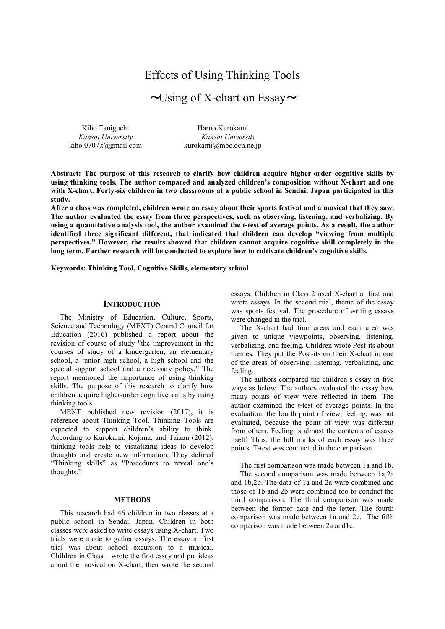# Effects of Using Thinking Tools

## $\sim$ Using of X-chart on Essay $\sim$

Kiho Taniguchi *Kansai University* kiho.0707.t@gmail.com

Haruo Kurokami *Kansai University* kurokami@mbc.ocn.ne.jp

**Abstract: The purpose of this research to clarify how children acquire higher-order cognitive skills by using thinking tools. The author compared and analyzed children's composition without X-chart and one with X-chart. Forty-six children in two classrooms at a public school in Sendai, Japan participated in this study.** 

**After a class was completed, children wrote an essay about their sports festival and a musical that they saw. The author evaluated the essay from three perspectives, such as observing, listening, and verbalizing. By using a quantitative analysis tool, the author examined the t-test of average points. As a result, the author identified three significant different, that indicated that children can develop "viewing from multiple perspectives." However, the results showed that children cannot acquire cognitive skill completely in the long term. Further research will be conducted to explore how to cultivate children's cognitive skills.**

**Keywords: Thinking Tool, Cognitive Skills, elementary school** 

#### **INTRODUCTION**

The Ministry of Education, Culture, Sports, Science and Technology (MEXT) Central Council for Education (2016) published a report about the revision of course of study "the improvement in the courses of study of a kindergarten, an elementary school, a junior high school, a high school and the special support school and a necessary policy." The report mentioned the importance of using thinking skills. The purpose of this research to clarify how children acquire higher-order cognitive skills by using thinking tools.

MEXT published new revision (2017), it is reference about Thinking Tool. Thinking Tools are expected to support children's ability to think. According to Kurokami, Kojima, and Taizan (2012), thinking tools help to visualizing ideas to develop thoughts and create new information. They defined "Thinking skills" as "Procedures to reveal one's thoughts."

#### **METHODS**

This research had 46 children in two classes at a public school in Sendai, Japan. Children in both classes were asked to write essays using X-chart. Two trials were made to gather essays. The essay in first trial was about school excursion to a musical. Children in Class 1 wrote the first essay and put ideas about the musical on X-chart, then wrote the second

essays. Children in Class 2 used X-chart at first and wrote essays. In the second trial, theme of the essay was sports festival. The procedure of writing essays were changed in the trial.

The X-chart had four areas and each area was given to unique viewpoints, observing, listening, verbalizing, and feeling. Children wrote Post-its about themes. They put the Post-its on their X-chart in one of the areas of observing, listening, verbalizing, and feeling.

The authors compared the children's essay in five ways as below. The authors evaluated the essay how many points of view were reflected in them. The author examined the t-test of average points. In the evaluation, the fourth point of view, feeling, was not evaluated, because the point of view was different from others. Feeling is almost the contents of essays itself. Thus, the full marks of each essay was three points. T-test was conducted in the comparison.

The first comparison was made between 1a and 1b.

The second comparison was made between 1a,2a and 1b,2b. The data of 1a and 2a ware combined and those of 1b and 2b were combined too to conduct the third comparison. The third comparison was made between the former date and the letter. The fourth comparison was made between 1a and 2c. The fifth comparison was made between 2a and1c.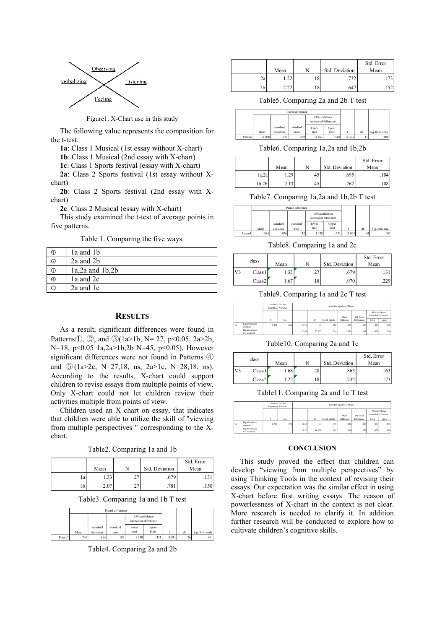

Figure1. X-Chart use in this study

The following value represents the composition for the t-test.

**1a**: Class 1 Musical (1st essay without X-chart)

**1b**: Class 1 Musical (2nd essay with X-chart)

**1c**: Class 1 Sports festival (essay with X-chart)

**2a**: Class 2 Sports festival (1st essay without Xchart)

**2b**: Class 2 Sports festival (2nd essay with Xchart)

**2c**: Class 2 Musical (essay with X-chart)

This study examined the t-test of average points in five patterns.

Table 1. Comparing the five ways.

|     | la and 1b             |
|-----|-----------------------|
|     | 2a and 2b             |
| ③   | $1a, 2a$ and $1b, 2b$ |
| (4) | 1a and 2c             |
| (5) | $2a$ and $1c$         |

#### **RESULTS**

As a result, significant differences were found in Patterns $\circled{1}$ ,  $\circled{2}$ , and  $\circled{3}$ (1a>1b, N= 27, p<0.05, 2a>2b, N=18, p<0.05 1a,2a>1b,2b N=45, p<0.05). However significant differences were not found in Patterns ④ and ⑤(1a>2c, N=27,18, ns, 2a>1c, N=28,18, ns). According to the results, X-chart could support children to revise essays from multiple points of view. Only X-chart could not let children review their activities multiple from points of view.

Children used an X chart on essay, that indicates that children were able to utilize the skill of "viewing from multiple perspectives " corresponding to the Xchart.

Table2. Comparing 1a and 1b

|     |      |                  | Std. Error |
|-----|------|------------------|------------|
|     | Mean | Std. Deviation   | Mean       |
| l a | 1.33 | .679             |            |
| 1b  | 2.07 | .10 <sup>1</sup> | .150       |

Table3. Comparing 1a and 1b T test

|         |         | Paired difference |                     |                                          |       |          |    |                  |
|---------|---------|-------------------|---------------------|------------------------------------------|-------|----------|----|------------------|
|         |         |                   |                     | 95% confidence<br>interval of difference |       |          |    |                  |
|         |         | standard          | standard            | lower                                    | Upper |          |    |                  |
|         | Mean    | deviation         | error               | limit                                    | limit |          | df | Sig.(bilat eral) |
| Patern1 | $-.741$ | .984              | $.189$ <sup>1</sup> | $-1.130$                                 | $-35$ | $-3.911$ | 26 | .001             |

Table4. Comparing 2a and 2b

|    |                 |     |                | Std. Error      |
|----|-----------------|-----|----------------|-----------------|
|    | Mean            |     | Std. Deviation | Mean            |
| 2a | .22             | 18. | .732           | .173            |
| 2b | າາາ<br>$\cdots$ | 10. | .647           | 52 <sub>1</sub> |

Table5. Comparing 2a and 2b T test

|                     |          |           | Paired difference |                        |               |          |    |                  |
|---------------------|----------|-----------|-------------------|------------------------|---------------|----------|----|------------------|
|                     |          |           |                   | interval of difference | 95%confidence |          |    |                  |
|                     |          | standard  | standard          | lower                  | Upper         |          |    |                  |
|                     | Mean     | deviation | crror             | limit                  | limit         |          | df | Sig.(bilat eral) |
| Patern <sub>2</sub> | $-1.000$ | .970      | .229              | $-1.482$               | $-.518$       | $-4.373$ |    | .000             |

Table6. Comparing 1a,2a and 1b,2b

|       |         |    |                | Std. Error |
|-------|---------|----|----------------|------------|
|       | Mean    |    | Std. Deviation | Mean       |
| la,2a | 1.29    | 45 | .695           | .104       |
| 1b,2b | $.13 -$ | 45 | .762           | .108       |

Table7. Comparing 1a,2a and 1b,2b T test

|                     |         | Paired difference |          |                        |               |          |    |                  |
|---------------------|---------|-------------------|----------|------------------------|---------------|----------|----|------------------|
|                     |         |                   |          | interval of difference | 95%confidence |          |    |                  |
|                     |         | standard          | standard | lower                  | Upper         |          |    |                  |
|                     | Mean    | deviation         | error    | limit                  | limit         |          | df | Sig.(bilat eral) |
| Patern <sub>3</sub> | $-.884$ | .976              | .145     | $-1.138$               | $-551$        | $-5.804$ | 44 | .000             |

Table8. Comparing 1a and 2c

|                | class   | Mean |               | Std. Deviation | Std. Error<br>Mean |
|----------------|---------|------|---------------|----------------|--------------------|
| V <sub>3</sub> | Class 1 | .33  | $\mathcal{L}$ | .679           |                    |
|                | Class2  | .67  | 18            | .970           |                    |

Table9. Comparing 1a and 2c T test

|                |                               |          | Levene's Test for<br>Equality of Variance |          | t-test for equality of Means |                |            |            |                                         |       |
|----------------|-------------------------------|----------|-------------------------------------------|----------|------------------------------|----------------|------------|------------|-----------------------------------------|-------|
|                |                               |          |                                           |          |                              |                | Mean       | Std. Error | 95%confidence<br>interval of difference |       |
|                |                               | <b>D</b> | Sig.                                      |          | df                           | Sig.(2-tailed) | Difference | Difference | lower                                   | upper |
| V <sub>3</sub> | Equal variance<br>assumed     | 3.492    | .068                                      | $-1.358$ | 43                           | .182           | $-333$     | .246       | $-829$                                  | .162  |
|                | Equal variance<br>not assumed |          |                                           | $-1.265$ | 27.977                       | .216           | $-333$     | 263        | $-873$                                  | .206  |

Table10. Comparing 2a and 1c

|                | class              | Mean     | N  | Std. Deviation | Std. Error<br>Mean |
|----------------|--------------------|----------|----|----------------|--------------------|
| V <sup>3</sup> | Class <sub>1</sub> | 1.68     | 28 | .863           | .163               |
|                | Class 2            | າາ<br>ے۔ | 18 | .732           |                    |

Table11. Comparing 2a and 1c T test

|                |                               |       | Levene's Test for<br>Equality of Variance |       |        |                | t-test for equality of Means |            |                        |               |
|----------------|-------------------------------|-------|-------------------------------------------|-------|--------|----------------|------------------------------|------------|------------------------|---------------|
|                |                               |       |                                           |       |        |                | Mean                         | Std. Error | interval of difference | 95%confidence |
|                |                               | E.    | Sig.                                      |       | df     | Sig.(2-tailed) | Difference                   | Difference | lower                  | upper         |
| V <sub>3</sub> | Equal variance<br>assumed     | 1.720 | .196                                      | 1.854 | 44     | .070           | .456                         | .246       | $-040$                 | .953          |
|                | Equal variance<br>not assumed |       |                                           | 1.922 | 40.559 | .062           | .456                         | .237       | $-023$                 | .936          |

#### **CONCLUSION**

This study proved the effect that children can develop "viewing from multiple perspectives" by using Thinking Tools in the context of revising their essays. Our expectation was the similar effect in using X-chart before first writing essays. The reason of powerlessness of X-chart in the context is not clear. More research is needed to clarify it. In addition further research will be conducted to explore how to cultivate children's cognitive skills.